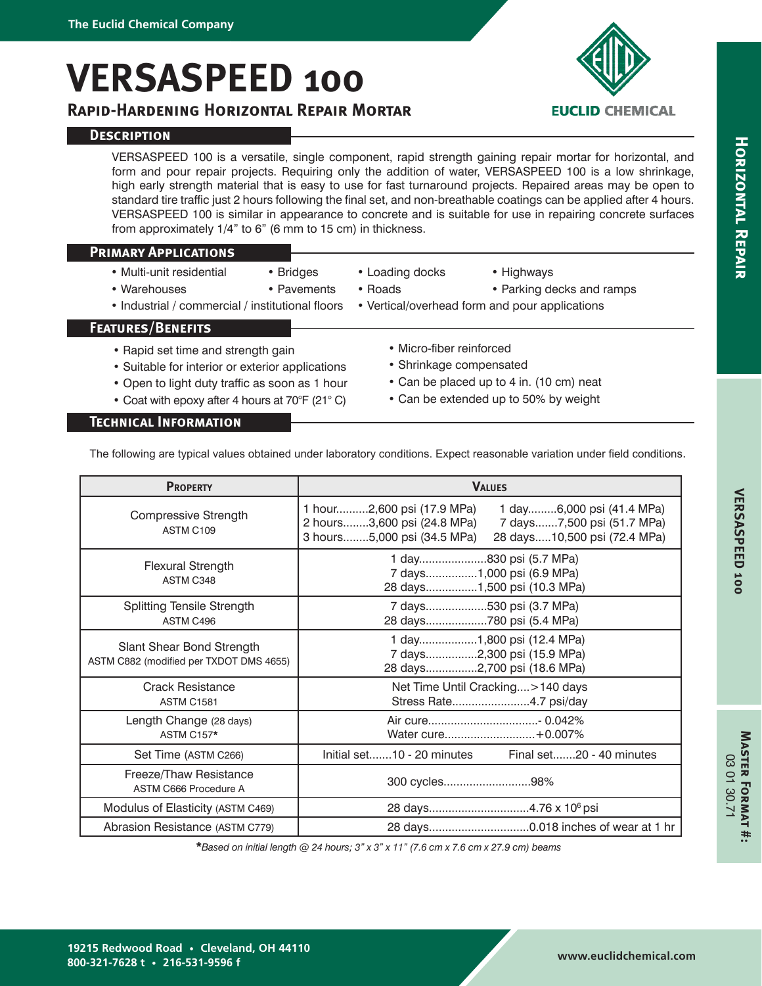# **VERSASPEED 100**

# **Rapid-Hardening Horizontal Repair Mortar**

## **Description**



### **Primary Applications**

| • Multi-unit residential<br>• Warehouses         | • Bridges<br>• Pavements | • Loading docks<br>$\cdot$ Roads               | • Highways<br>• Parking decks and ramps |  |
|--------------------------------------------------|--------------------------|------------------------------------------------|-----------------------------------------|--|
| • Industrial / commercial / institutional floors |                          | • Vertical/overhead form and pour applications |                                         |  |
| <b>FEATURES/BENEFITS</b>                         |                          |                                                |                                         |  |
|                                                  |                          |                                                |                                         |  |
|                                                  |                          |                                                |                                         |  |

# • Rapid set time and strength gain

- Suitable for interior or exterior applications
- Open to light duty traffic as soon as 1 hour
- Coat with epoxy after 4 hours at 70°F (21° C)
- Micro-fiber reinforced
	- Shrinkage compensated
	- Can be placed up to 4 in. (10 cm) neat
	- Can be extended up to 50% by weight

**Technical Information**

The following are typical values obtained under laboratory conditions. Expect reasonable variation under field conditions.

| <b>PROPERTY</b>                                                      | <b>VALUES</b>                                                                                                                                                                       |  |  |
|----------------------------------------------------------------------|-------------------------------------------------------------------------------------------------------------------------------------------------------------------------------------|--|--|
| Compressive Strength<br>ASTM C109                                    | 1 hour2,600 psi (17.9 MPa)<br>1 day6,000 psi (41.4 MPa)<br>2 hours3,600 psi (24.8 MPa)<br>7 days7,500 psi (51.7 MPa)<br>3 hours5,000 psi (34.5 MPa)<br>28 days10,500 psi (72.4 MPa) |  |  |
| <b>Flexural Strength</b><br>ASTM C348                                | 1 day830 psi (5.7 MPa)<br>7 days1,000 psi (6.9 MPa)<br>28 days1,500 psi (10.3 MPa)                                                                                                  |  |  |
| <b>Splitting Tensile Strength</b><br>ASTM C496                       | 7 days530 psi (3.7 MPa)<br>28 days780 psi (5.4 MPa)                                                                                                                                 |  |  |
| Slant Shear Bond Strength<br>ASTM C882 (modified per TXDOT DMS 4655) | 1 day1,800 psi (12.4 MPa)<br>7 days2,300 psi (15.9 MPa)<br>28 days2,700 psi (18.6 MPa)                                                                                              |  |  |
| Crack Resistance<br><b>ASTM C1581</b>                                | Net Time Until Cracking>140 days<br>Stress Rate4.7 psi/day                                                                                                                          |  |  |
| Length Change (28 days)<br><b>ASTM C157*</b>                         | Water cure +0.007%                                                                                                                                                                  |  |  |
| Set Time (ASTM C266)                                                 | lnitial set10 - 20 minutes Final set20 - 40 minutes                                                                                                                                 |  |  |
| Freeze/Thaw Resistance<br>ASTM C666 Procedure A                      | 300 cycles98%                                                                                                                                                                       |  |  |
| Modulus of Elasticity (ASTM C469)                                    | 28 days4.76 x 10 <sup>6</sup> psi                                                                                                                                                   |  |  |
| Abrasion Resistance (ASTM C779)                                      |                                                                                                                                                                                     |  |  |

**\****Based on initial length @ 24 hours; 3" x 3" x 11" (7.6 cm x 7.6 cm x 27.9 cm) beams*

**EUCLID CHEMICAL**